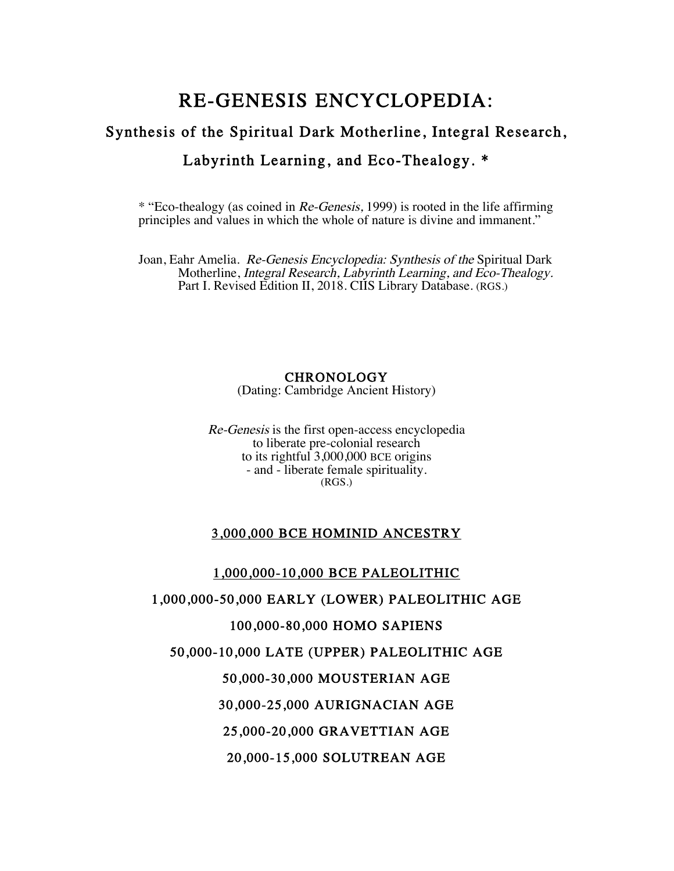# RE-GENESIS ENCYCLOPEDIA: Synthesis of the Spiritual Dark Motherline, Integral Research, Labyrinth Learning, and Eco-Thealogy. \*

\* "Eco-thealogy (as coined in Re-Genesis, 1999) is rooted in the life affirming principles and values in which the whole of nature is divine and immanent."

Joan, Eahr Amelia. Re-Genesis Encyclopedia: Synthesis of the Spiritual Dark Motherline, Integral Research, Labyrinth Learning, and Eco-Thealogy. Part I. Revised Edition II, 2018. CIIS Library Database. (RGS.)

## **CHRONOLOGY**

(Dating: Cambridge Ancient History)

Re-Genesis is the first open-access encyclopedia to liberate pre-colonial research to its rightful 3,000,000 BCE origins - and - liberate female spirituality. (RGS.)

## 3,000,000 BCE HOMINID ANCESTRY

1,000,000-10,000 BCE PALEOLITHIC 1,000,000-50,000 EARLY (LOWER) PALEOLITHIC AGE 100,000-80,000 HOMO SAPIENS 50,000-10,000 LATE (UPPER) PALEOLITHIC AGE 50,000-30,000 MOUSTERIAN AGE 30,000-25,000 AURIGNACIAN AGE 25,000-20,000 GRAVETTIAN AGE 20,000-15,000 SOLUTREAN AGE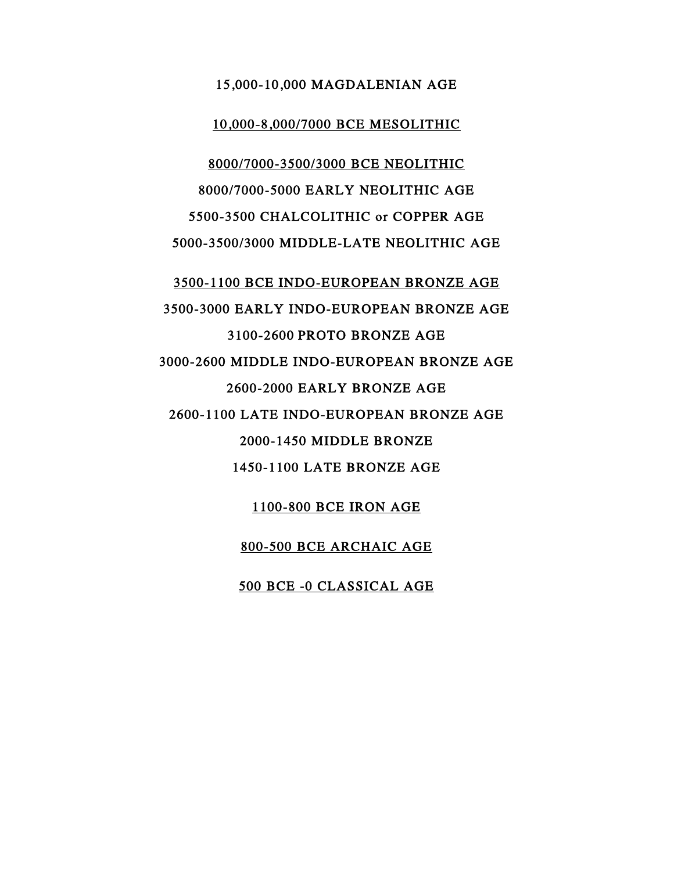#### 15,000-10,000 MAGDALENIAN AGE

#### 10,000-8,000/7000 BCE MESOLITHIC

8000/7000-3500/3000 BCE NEOLITHIC 8000/7000-5000 EARLY NEOLITHIC AGE 5500-3500 CHALCOLITHIC or COPPER AGE 5000-3500/3000 MIDDLE-LATE NEOLITHIC AGE

3500-1100 BCE INDO-EUROPEAN BRONZE AGE 3500-3000 EARLY INDO-EUROPEAN BRONZE AGE 3100-2600 PROTO BRONZE AGE 3000-2600 MIDDLE INDO-EUROPEAN BRONZE AGE 2600-2000 EARLY BRONZE AGE 2600-1100 LATE INDO-EUROPEAN BRONZE AGE 2000-1450 MIDDLE BRONZE 1450-1100 LATE BRONZE AGE

1100-800 BCE IRON AGE

800-500 BCE ARCHAIC AGE

500 BCE -0 CLASSICAL AGE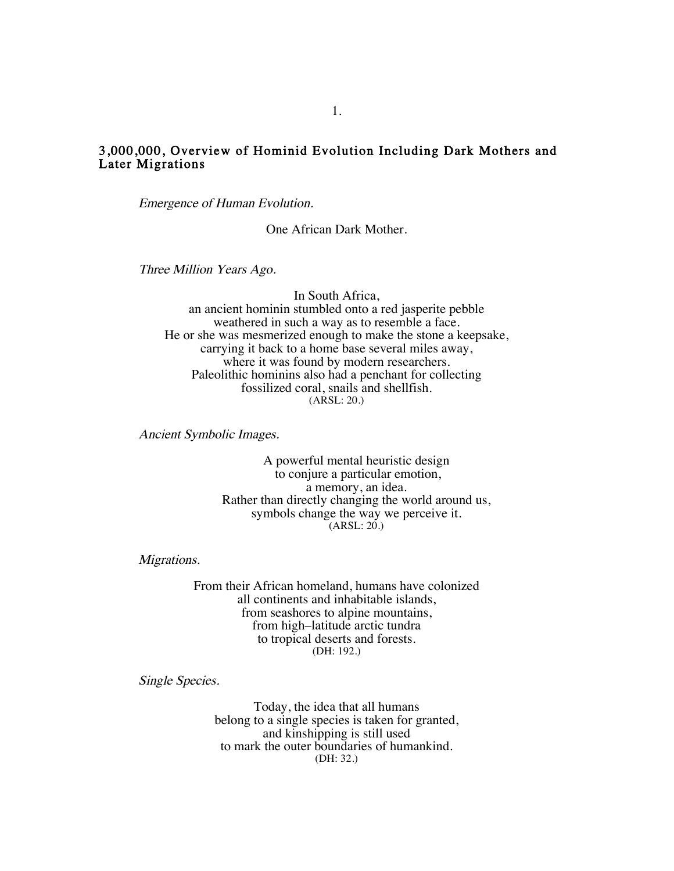#### 3,000,000, Overview of Hominid Evolution Including Dark Mothers and Later Migrations

Emergence of Human Evolution.

One African Dark Mother.

Three Million Years Ago.

In South Africa, an ancient hominin stumbled onto a red jasperite pebble weathered in such a way as to resemble a face. He or she was mesmerized enough to make the stone a keepsake, carrying it back to a home base several miles away, where it was found by modern researchers. Paleolithic hominins also had a penchant for collecting fossilized coral, snails and shellfish. (ARSL: 20.)

Ancient Symbolic Images.

A powerful mental heuristic design to conjure a particular emotion, a memory, an idea. Rather than directly changing the world around us, symbols change the way we perceive it.  $(ARSL: 20.)$ 

Migrations.

From their African homeland, humans have colonized all continents and inhabitable islands, from seashores to alpine mountains, from high–latitude arctic tundra to tropical deserts and forests. (DH: 192.)

Single Species.

Today, the idea that all humans belong to a single species is taken for granted, and kinshipping is still used to mark the outer boundaries of humankind. (DH: 32.)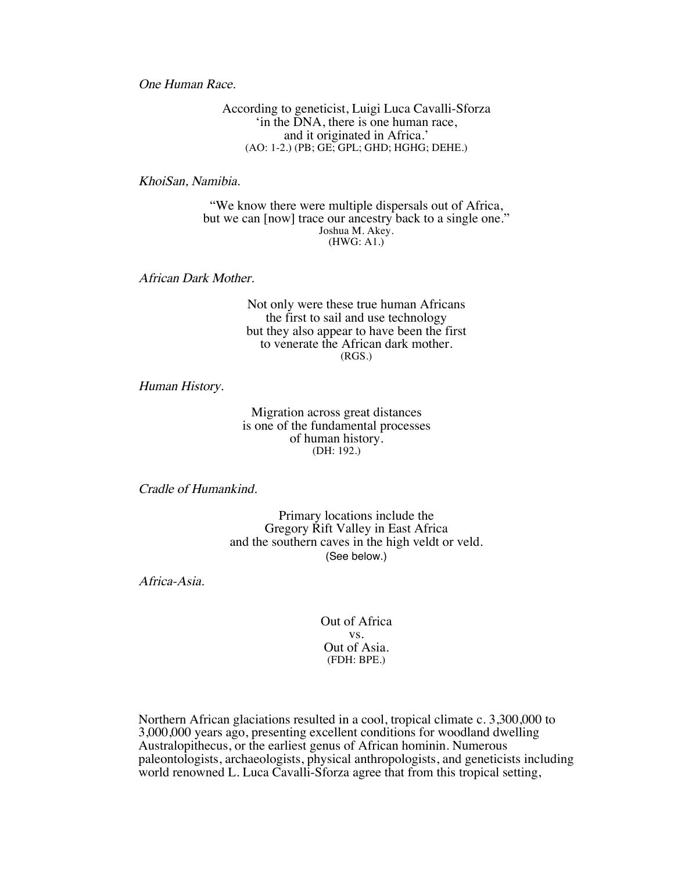One Human Race.

According to geneticist, Luigi Luca Cavalli-Sforza 'in the DNA, there is one human race, and it originated in Africa.' (AO: 1-2.) (PB; GE; GPL; GHD; HGHG; DEHE.)

KhoiSan, Namibia.

"We know there were multiple dispersals out of Africa, but we can [now] trace our ancestry back to a single one." Joshua M. Akey.  $(HWG: A1.)$ 

African Dark Mother.

Not only were these true human Africans the first to sail and use technology but they also appear to have been the first to venerate the African dark mother. (RGS.)

Human History.

Migration across great distances is one of the fundamental processes of human history. (DH: 192.)

Cradle of Humankind.

Primary locations include the Gregory Rift Valley in East Africa and the southern caves in the high veldt or veld. (See below.)

Africa-Asia.

Out of Africa vs. Out of Asia. (FDH: BPE.)

Northern African glaciations resulted in a cool, tropical climate c. 3,300,000 to 3,000,000 years ago, presenting excellent conditions for woodland dwelling Australopithecus, or the earliest genus of African hominin. Numerous paleontologists, archaeologists, physical anthropologists, and geneticists including world renowned L. Luca Cavalli-Sforza agree that from this tropical setting,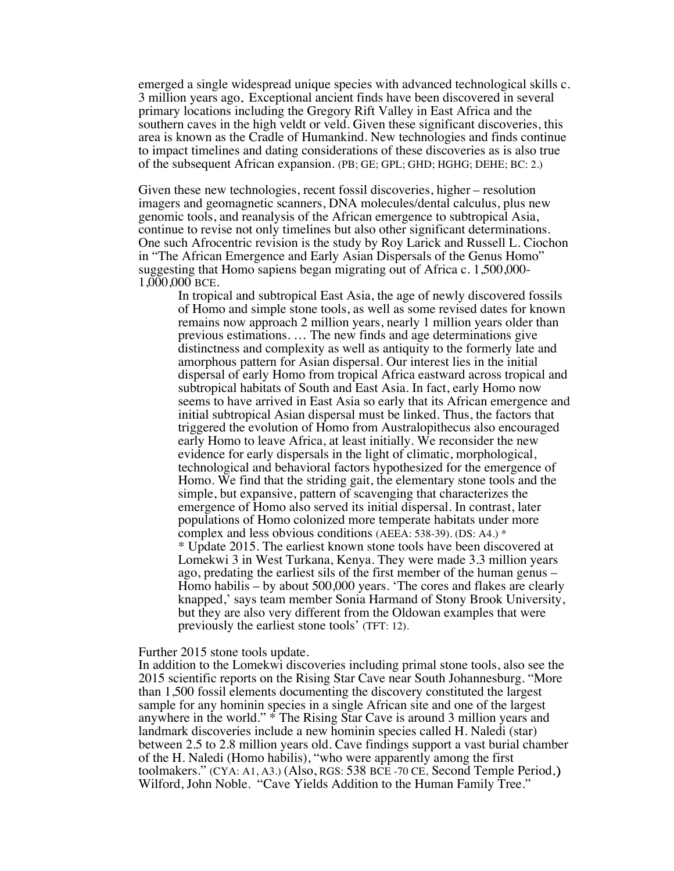emerged a single widespread unique species with advanced technological skills c. 3 million years ago. Exceptional ancient finds have been discovered in several primary locations including the Gregory Rift Valley in East Africa and the southern caves in the high veldt or veld. Given these significant discoveries, this area is known as the Cradle of Humankind. New technologies and finds continue to impact timelines and dating considerations of these discoveries as is also true of the subsequent African expansion. (PB; GE; GPL; GHD; HGHG; DEHE; BC: 2.)

Given these new technologies, recent fossil discoveries, higher – resolution imagers and geomagnetic scanners, DNA molecules/dental calculus, plus new genomic tools, and reanalysis of the African emergence to subtropical Asia, continue to revise not only timelines but also other significant determinations. One such Afrocentric revision is the study by Roy Larick and Russell L. Ciochon in "The African Emergence and Early Asian Dispersals of the Genus Homo" suggesting that Homo sapiens began migrating out of Africa c. 1,500,000- 1,000,000 BCE.

In tropical and subtropical East Asia, the age of newly discovered fossils of Homo and simple stone tools, as well as some revised dates for known remains now approach 2 million years, nearly 1 million years older than previous estimations. … The new finds and age determinations give distinctness and complexity as well as antiquity to the formerly late and amorphous pattern for Asian dispersal. Our interest lies in the initial dispersal of early Homo from tropical Africa eastward across tropical and subtropical habitats of South and East Asia. In fact, early Homo now seems to have arrived in East Asia so early that its African emergence and initial subtropical Asian dispersal must be linked. Thus, the factors that triggered the evolution of Homo from Australopithecus also encouraged early Homo to leave Africa, at least initially. We reconsider the new evidence for early dispersals in the light of climatic, morphological, technological and behavioral factors hypothesized for the emergence of Homo. We find that the striding gait, the elementary stone tools and the simple, but expansive, pattern of scavenging that characterizes the emergence of Homo also served its initial dispersal. In contrast, later populations of Homo colonized more temperate habitats under more complex and less obvious conditions (AEEA: 538-39). (DS: A4.) \* \* Update 2015. The earliest known stone tools have been discovered at Lomekwi 3 in West Turkana, Kenya. They were made 3.3 million years ago, predating the earliest sils of the first member of the human genus – Homo habilis – by about 500,000 years. 'The cores and flakes are clearly knapped,' says team member Sonia Harmand of Stony Brook University, but they are also very different from the Oldowan examples that were previously the earliest stone tools' (TFT: 12).

#### Further 2015 stone tools update.

In addition to the Lomekwi discoveries including primal stone tools, also see the 2015 scientific reports on the Rising Star Cave near South Johannesburg. "More than 1,500 fossil elements documenting the discovery constituted the largest sample for any hominin species in a single African site and one of the largest anywhere in the world." \* The Rising Star Cave is around 3 million years and landmark discoveries include a new hominin species called H. Naledi (star) between 2.5 to 2.8 million years old. Cave findings support a vast burial chamber of the H. Naledi (Homo habilis), "who were apparently among the first toolmakers." (CYA: A1, A3.) (Also, RGS: 538 BCE -70 CE, Second Temple Period.) Wilford, John Noble. "Cave Yields Addition to the Human Family Tree."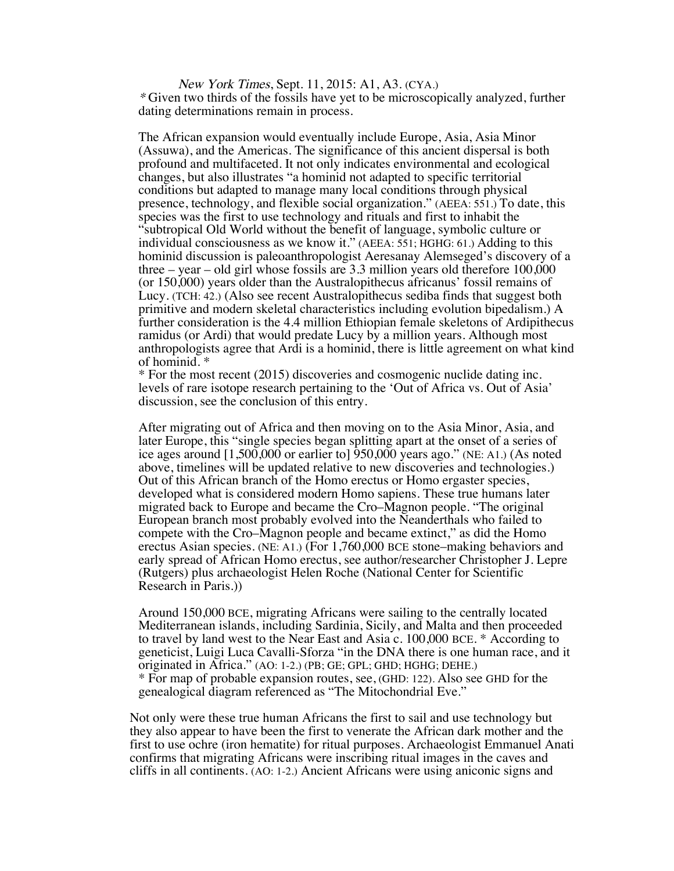New York Times, Sept. 11, 2015: A1, A3. (CYA.) \* Given two thirds of the fossils have yet to be microscopically analyzed, further dating determinations remain in process.

The African expansion would eventually include Europe, Asia, Asia Minor (Assuwa), and the Americas. The significance of this ancient dispersal is both profound and multifaceted. It not only indicates environmental and ecological changes, but also illustrates "a hominid not adapted to specific territorial conditions but adapted to manage many local conditions through physical presence, technology, and flexible social organization." (AEEA: 551.) To date, this species was the first to use technology and rituals and first to inhabit the "subtropical Old World without the benefit of language, symbolic culture or individual consciousness as we know it." (AEEA: 551; HGHG: 61.) Adding to this hominid discussion is paleoanthropologist Aeresanay Alemseged's discovery of a three – year – old girl whose fossils are 3.3 million years old therefore 100,000 (or 150,000) years older than the Australopithecus africanus' fossil remains of Lucy. (TCH: 42.) (Also see recent Australopithecus sediba finds that suggest both primitive and modern skeletal characteristics including evolution bipedalism.) A further consideration is the 4.4 million Ethiopian female skeletons of Ardipithecus ramidus (or Ardi) that would predate Lucy by a million years. Although most anthropologists agree that Ardi is a hominid, there is little agreement on what kind of hominid. \*

\* For the most recent (2015) discoveries and cosmogenic nuclide dating inc. levels of rare isotope research pertaining to the 'Out of Africa vs. Out of Asia' discussion, see the conclusion of this entry.

After migrating out of Africa and then moving on to the Asia Minor, Asia, and later Europe, this "single species began splitting apart at the onset of a series of ice ages around [1,500,000 or earlier to] 950,000 years ago." (NE: A1.) (As noted above, timelines will be updated relative to new discoveries and technologies.) Out of this African branch of the Homo erectus or Homo ergaster species, developed what is considered modern Homo sapiens. These true humans later migrated back to Europe and became the Cro–Magnon people. "The original European branch most probably evolved into the Neanderthals who failed to compete with the Cro–Magnon people and became extinct," as did the Homo erectus Asian species. (NE: A1.) (For 1,760,000 BCE stone–making behaviors and early spread of African Homo erectus, see author/researcher Christopher J. Lepre (Rutgers) plus archaeologist Helen Roche (National Center for Scientific Research in Paris.))

Around 150,000 BCE, migrating Africans were sailing to the centrally located Mediterranean islands, including Sardinia, Sicily, and Malta and then proceeded to travel by land west to the Near East and Asia c. 100,000 BCE. \* According to geneticist, Luigi Luca Cavalli-Sforza "in the DNA there is one human race, and it originated in Africa." (AO: 1-2.) (PB; GE; GPL; GHD; HGHG; DEHE.) \* For map of probable expansion routes, see, (GHD: 122). Also see GHD for the genealogical diagram referenced as "The Mitochondrial Eve."

Not only were these true human Africans the first to sail and use technology but they also appear to have been the first to venerate the African dark mother and the first to use ochre (iron hematite) for ritual purposes. Archaeologist Emmanuel Anati confirms that migrating Africans were inscribing ritual images in the caves and cliffs in all continents. (AO: 1-2.) Ancient Africans were using aniconic signs and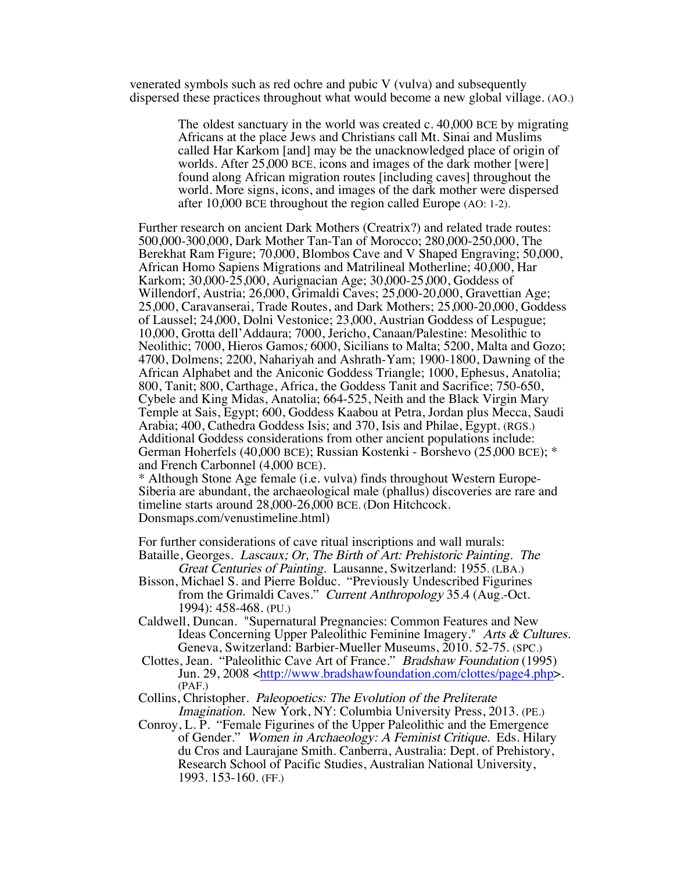venerated symbols such as red ochre and pubic V (vulva) and subsequently dispersed these practices throughout what would become a new global village. (AO.)

> The oldest sanctuary in the world was created c. 40,000 BCE by migrating Africans at the place Jews and Christians call Mt. Sinai and Muslims called Har Karkom [and] may be the unacknowledged place of origin of worlds. After 25,000 BCE, icons and images of the dark mother [were] found along African migration routes [including caves] throughout the world. More signs, icons, and images of the dark mother were dispersed after 10,000 BCE throughout the region called Europe (AO: 1-2).

Further research on ancient Dark Mothers (Creatrix?) and related trade routes: 500,000-300,000, Dark Mother Tan-Tan of Morocco; 280,000-250,000, The Berekhat Ram Figure; 70,000, Blombos Cave and V Shaped Engraving; 50,000, African Homo Sapiens Migrations and Matrilineal Motherline; 40,000, Har Karkom; 30,000-25,000, Aurignacian Age; 30,000-25,000, Goddess of Willendorf, Austria; 26,000, Grimaldi Caves; 25,000-20,000, Gravettian Age; 25,000, Caravanserai, Trade Routes, and Dark Mothers; 25,000-20,000, Goddess of Laussel; 24,000, Dolni Vestonice; 23,000, Austrian Goddess of Lespugue; 10,000, Grotta dell'Addaura; 7000, Jericho, Canaan/Palestine: Mesolithic to Neolithic; 7000, Hieros Gamos; 6000, Sicilians to Malta; 5200, Malta and Gozo; 4700, Dolmens; 2200, Nahariyah and Ashrath-Yam; 1900-1800, Dawning of the African Alphabet and the Aniconic Goddess Triangle; 1000, Ephesus, Anatolia; 800, Tanit; 800, Carthage, Africa, the Goddess Tanit and Sacrifice; 750-650, Cybele and King Midas, Anatolia; 664-525, Neith and the Black Virgin Mary Temple at Sais, Egypt; 600, Goddess Kaabou at Petra, Jordan plus Mecca, Saudi Arabia; 400, Cathedra Goddess Isis; and 370, Isis and Philae, Egypt. (RGS.) Additional Goddess considerations from other ancient populations include: German Hoherfels (40,000 BCE); Russian Kostenki - Borshevo (25,000 BCE); \* and French Carbonnel (4,000 BCE).

\* Although Stone Age female (i.e. vulva) finds throughout Western Europe-Siberia are abundant, the archaeological male (phallus) discoveries are rare and timeline starts around 28,000-26,000 BCE. (Don Hitchcock. Donsmaps.com/venustimeline.html)

For further considerations of cave ritual inscriptions and wall murals: Bataille, Georges. Lascaux; Or, The Birth of Art: Prehistoric Painting. The

- Great Centuries of Painting. Lausanne, Switzerland: 1955. (LBA.) Bisson, Michael S. and Pierre Bolduc. "Previously Undescribed Figurines from the Grimaldi Caves." Current Anthropology 35.4 (Aug.-Oct. 1994): 458-468. (PU.)
- Caldwell, Duncan. "Supernatural Pregnancies: Common Features and New Ideas Concerning Upper Paleolithic Feminine Imagery." Arts & Cultures. Geneva, Switzerland: Barbier-Mueller Museums, 2010. 52-75. (SPC.)
- Clottes, Jean. "Paleolithic Cave Art of France." Bradshaw Foundation (1995) Jun. 29, 2008 <http://www.bradshawfoundation.com/clottes/page4.php>. (PAF.)

Collins, Christopher. Paleopoetics: The Evolution of the Preliterate Imagination. New York, NY: Columbia University Press, 2013. (PE.)

Conroy, L. P. "Female Figurines of the Upper Paleolithic and the Emergence of Gender." Women in Archaeology: A Feminist Critique. Eds. Hilary du Cros and Laurajane Smith. Canberra, Australia: Dept. of Prehistory, Research School of Pacific Studies, Australian National University, 1993. 153-160. (FF.)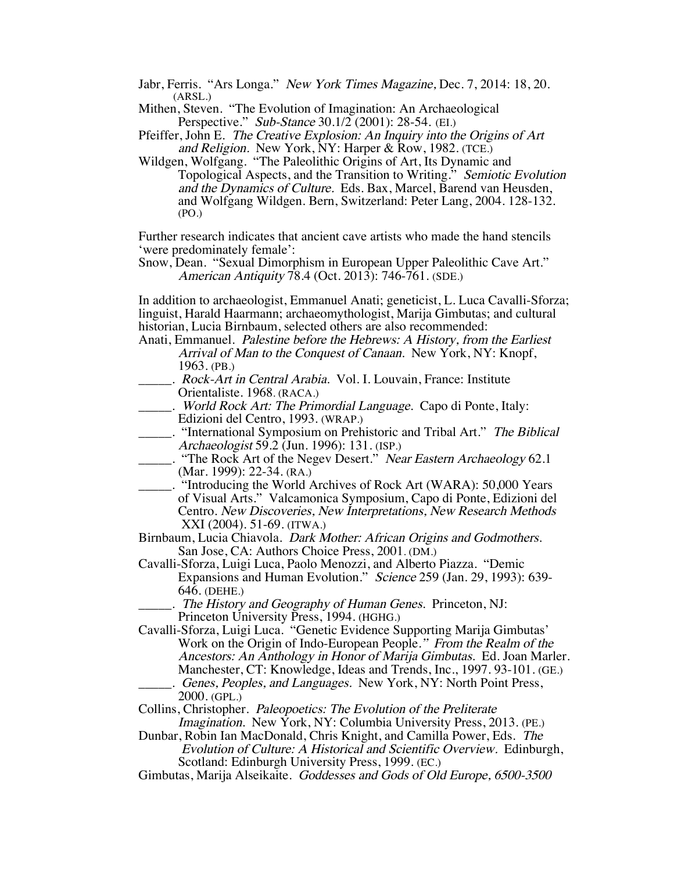- Jabr, Ferris. "Ars Longa." New York Times Magazine, Dec. 7, 2014: 18, 20. (ARSL.)
- Mithen, Steven. "The Evolution of Imagination: An Archaeological Perspective." Sub-Stance 30.1/2 (2001): 28-54. (EI.)
- Pfeiffer, John E. The Creative Explosion: An Inquiry into the Origins of Art and Religion. New York, NY: Harper & Row, 1982. (TCE.)
- Wildgen, Wolfgang. "The Paleolithic Origins of Art, Its Dynamic and Topological Aspects, and the Transition to Writing." Semiotic Evolution and the Dynamics of Culture. Eds. Bax, Marcel, Barend van Heusden, and Wolfgang Wildgen. Bern, Switzerland: Peter Lang, 2004. 128-132. (PO.)

Further research indicates that ancient cave artists who made the hand stencils 'were predominately female':

Snow, Dean. "Sexual Dimorphism in European Upper Paleolithic Cave Art." American Antiquity 78.4 (Oct. 2013): 746-761. (SDE.)

In addition to archaeologist, Emmanuel Anati; geneticist, L. Luca Cavalli-Sforza; linguist, Harald Haarmann; archaeomythologist, Marija Gimbutas; and cultural historian, Lucia Birnbaum, selected others are also recommended:

- Anati, Emmanuel. Palestine before the Hebrews: A History, from the Earliest Arrival of Man to the Conquest of Canaan. New York, NY: Knopf, 1963. (PB.)
- ... Rock-Art in Central Arabia. Vol. I. Louvain, France: Institute Orientaliste. 1968. (RACA.)
- \_\_\_\_\_. World Rock Art: The Primordial Language. Capo di Ponte, Italy: Edizioni del Centro, 1993. (WRAP.)
- \_\_\_\_\_. "International Symposium on Prehistoric and Tribal Art." The Biblical Archaeologist 59.2 (Jun. 1996): 131. (ISP.)
- \_\_\_\_\_. "The Rock Art of the Negev Desert." Near Eastern Archaeology 62.1 (Mar. 1999): 22-34. (RA.)
- \_\_\_\_\_. "Introducing the World Archives of Rock Art (WARA): 50,000 Years of Visual Arts." Valcamonica Symposium, Capo di Ponte, Edizioni del Centro. New Discoveries, New Interpretations, New Research Methods XXI (2004). 51-69. (ITWA.)
- Birnbaum, Lucia Chiavola. Dark Mother: African Origins and Godmothers. San Jose, CA: Authors Choice Press, 2001. (DM.)
- Cavalli-Sforza, Luigi Luca, Paolo Menozzi, and Alberto Piazza. "Demic Expansions and Human Evolution." Science 259 (Jan. 29, 1993): 639- 646. (DEHE.)
- . The History and Geography of Human Genes. Princeton, NJ: Princeton University Press, 1994. (HGHG.)

Cavalli-Sforza, Luigi Luca. "Genetic Evidence Supporting Marija Gimbutas' Work on the Origin of Indo-European People." From the Realm of the Ancestors: An Anthology in Honor of Marija Gimbutas. Ed. Joan Marler. Manchester, CT: Knowledge, Ideas and Trends, Inc., 1997. 93-101. (GE.) Genes, Peoples, and Languages. New York, NY: North Point Press, 2000. (GPL.)

- Collins, Christopher. Paleopoetics: The Evolution of the Preliterate Imagination. New York, NY: Columbia University Press, 2013. (PE.)
- Dunbar, Robin Ian MacDonald, Chris Knight, and Camilla Power, Eds. The Evolution of Culture: A Historical and Scientific Overview. Edinburgh, Scotland: Edinburgh University Press, 1999. (EC.)
- Gimbutas, Marija Alseikaite. Goddesses and Gods of Old Europe, 6500-3500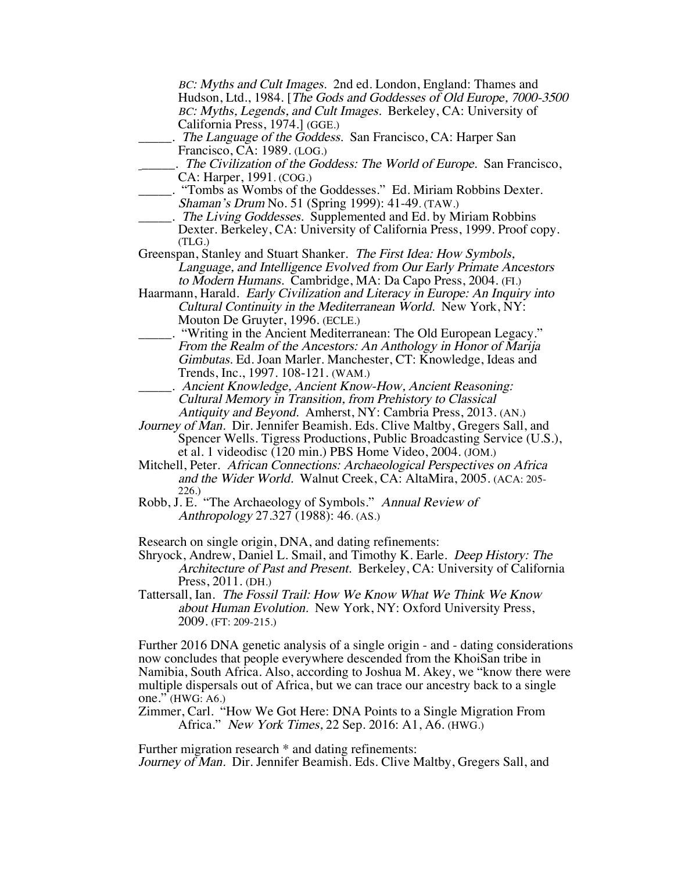BC: Myths and Cult Images. 2nd ed. London, England: Thames and Hudson, Ltd., 1984. [The Gods and Goddesses of Old Europe, 7000-3500 BC: Myths, Legends, and Cult Images. Berkeley, CA: University of California Press, 1974.] (GGE.) . The Language of the Goddess. San Francisco, CA: Harper San Francisco, CA: 1989. (LOG.) \_\_\_\_\_. The Civilization of the Goddess: The World of Europe. San Francisco, CA: Harper, 1991. (COG.) \_\_\_\_\_. "Tombs as Wombs of the Goddesses." Ed. Miriam Robbins Dexter. Shaman's Drum No. 51 (Spring 1999): 41-49. (TAW.) . The Living Goddesses. Supplemented and Ed. by Miriam Robbins Dexter. Berkeley, CA: University of California Press, 1999. Proof copy. (TLG.) Greenspan, Stanley and Stuart Shanker. The First Idea: How Symbols, Language, and Intelligence Evolved from Our Early Primate Ancestors to Modern Humans. Cambridge, MA: Da Capo Press, 2004. (FI.) Haarmann, Harald. Early Civilization and Literacy in Europe: An Inquiry into Cultural Continuity in the Mediterranean World. New York, NY: Mouton De Gruyter, 1996. (ECLE.) \_\_\_\_\_. "Writing in the Ancient Mediterranean: The Old European Legacy." From the Realm of the Ancestors: An Anthology in Honor of Marija Gimbutas. Ed. Joan Marler. Manchester, CT: Knowledge, Ideas and Trends, Inc., 1997. 108-121. (WAM.) \_\_\_\_\_. Ancient Knowledge, Ancient Know-How, Ancient Reasoning: Cultural Memory in Transition, from Prehistory to Classical Antiquity and Beyond. Amherst, NY: Cambria Press, 2013. (AN.) Journey of Man. Dir. Jennifer Beamish. Eds. Clive Maltby, Gregers Sall, and Spencer Wells. Tigress Productions, Public Broadcasting Service (U.S.), et al. 1 videodisc (120 min.) PBS Home Video, 2004. (JOM.) Mitchell, Peter. African Connections: Archaeological Perspectives on Africa and the Wider World. Walnut Creek, CA: AltaMira, 2005. (ACA: 205- 226.) Robb, J. E. "The Archaeology of Symbols." Annual Review of Anthropology 27.327 (1988): 46. (AS.) Research on single origin, DNA, and dating refinements: Shryock, Andrew, Daniel L. Smail, and Timothy K. Earle. Deep History: The Architecture of Past and Present. Berkeley, CA: University of California Press, 2011. (DH.) Tattersall, Ian. The Fossil Trail: How We Know What We Think We Know about Human Evolution. New York, NY: Oxford University Press, 2009. (FT: 209-215.) Further 2016 DNA genetic analysis of a single origin - and - dating considerations now concludes that people everywhere descended from the KhoiSan tribe in Namibia, South Africa. Also, according to Joshua M. Akey, we "know there were multiple dispersals out of Africa, but we can trace our ancestry back to a single one." (HWG: A6.)

Zimmer, Carl. "How We Got Here: DNA Points to a Single Migration From Africa." New York Times, 22 Sep. 2016: A1, A6. (HWG.)

Further migration research \* and dating refinements: Journey of Man. Dir. Jennifer Beamish. Eds. Clive Maltby, Gregers Sall, and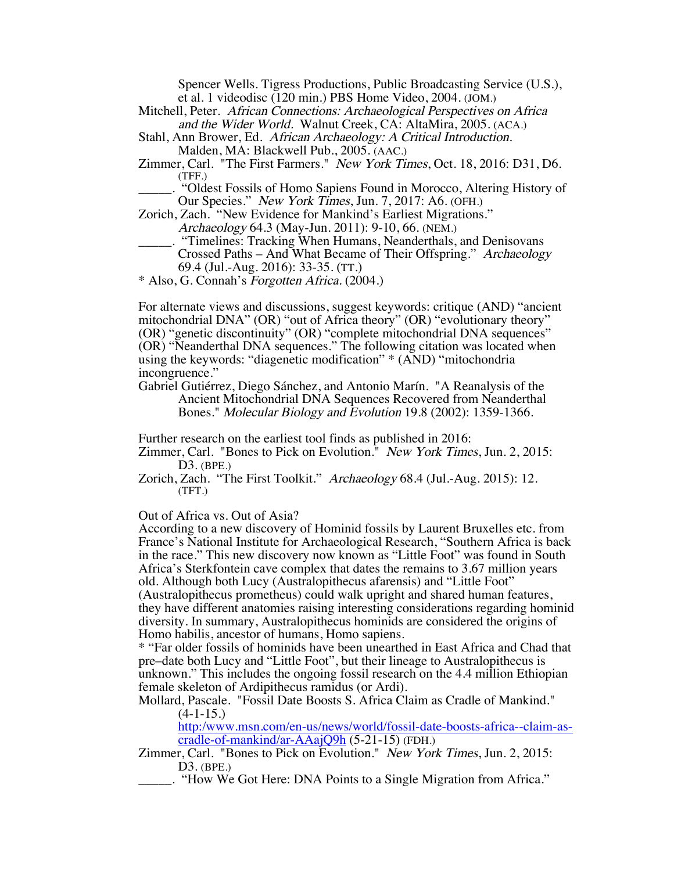Spencer Wells. Tigress Productions, Public Broadcasting Service (U.S.), et al. 1 videodisc (120 min.) PBS Home Video, 2004. (JOM.)

Mitchell, Peter. African Connections: Archaeological Perspectives on Africa and the Wider World. Walnut Creek, CA: AltaMira, 2005. (ACA.)

Stahl, Ann Brower, Ed. African Archaeology: A Critical Introduction. Malden, MA: Blackwell Pub., 2005. (AAC.)

Zimmer, Carl. "The First Farmers." New York Times, Oct. 18, 2016: D31, D6. (TFF.)

\_\_\_\_\_. "Oldest Fossils of Homo Sapiens Found in Morocco, Altering History of Our Species." New York Times, Jun. 7, 2017: A6. (OFH.)

Zorich, Zach. "New Evidence for Mankind's Earliest Migrations." Archaeology 64.3 (May-Jun. 2011): 9-10, 66. (NEM.)

\_\_\_\_\_. "Timelines: Tracking When Humans, Neanderthals, and Denisovans Crossed Paths – And What Became of Their Offspring." Archaeology 69.4 (Jul.-Aug. 2016): 33-35. (TT.)

\* Also, G. Connah's Forgotten Africa. (2004.)

For alternate views and discussions, suggest keywords: critique (AND) "ancient mitochondrial DNA" (OR) "out of Africa theory" (OR) "evolutionary theory" (OR) "genetic discontinuity" (OR) "complete mitochondrial DNA sequences" (OR) "Neanderthal DNA sequences." The following citation was located when using the keywords: "diagenetic modification" \* (AND) "mitochondria incongruence."

Gabriel Gutiérrez, Diego Sánchez, and Antonio Marín. "A Reanalysis of the Ancient Mitochondrial DNA Sequences Recovered from Neanderthal Bones." Molecular Biology and Evolution 19.8 (2002): 1359-1366.

Further research on the earliest tool finds as published in 2016:

Zimmer, Carl. "Bones to Pick on Evolution." New York Times, Jun. 2, 2015: D3. (BPE.)

Zorich, Zach. "The First Toolkit." Archaeology 68.4 (Jul.-Aug. 2015): 12. (TFT.)

Out of Africa vs. Out of Asia?

According to a new discovery of Hominid fossils by Laurent Bruxelles etc. from France's National Institute for Archaeological Research, "Southern Africa is back in the race." This new discovery now known as "Little Foot" was found in South Africa's Sterkfontein cave complex that dates the remains to 3.67 million years old. Although both Lucy (Australopithecus afarensis) and "Little Foot" (Australopithecus prometheus) could walk upright and shared human features, they have different anatomies raising interesting considerations regarding hominid diversity. In summary, Australopithecus hominids are considered the origins of Homo habilis, ancestor of humans, Homo sapiens.

\* "Far older fossils of hominids have been unearthed in East Africa and Chad that pre–date both Lucy and "Little Foot", but their lineage to Australopithecus is unknown." This includes the ongoing fossil research on the 4.4 million Ethiopian female skeleton of Ardipithecus ramidus (or Ardi).

Mollard, Pascale. "Fossil Date Boosts S. Africa Claim as Cradle of Mankind."  $(4-1-15)$ .

http:/www.msn.com/en-us/news/world/fossil-date-boosts-africa--claim-as- cradle-of-mankind/ar-AAajQ9h (5-21-15) (FDH.)

 Zimmer, Carl. "Bones to Pick on Evolution." New York Times, Jun. 2, 2015: D3. (BPE.)

\_\_\_\_\_. "How We Got Here: DNA Points to a Single Migration from Africa."